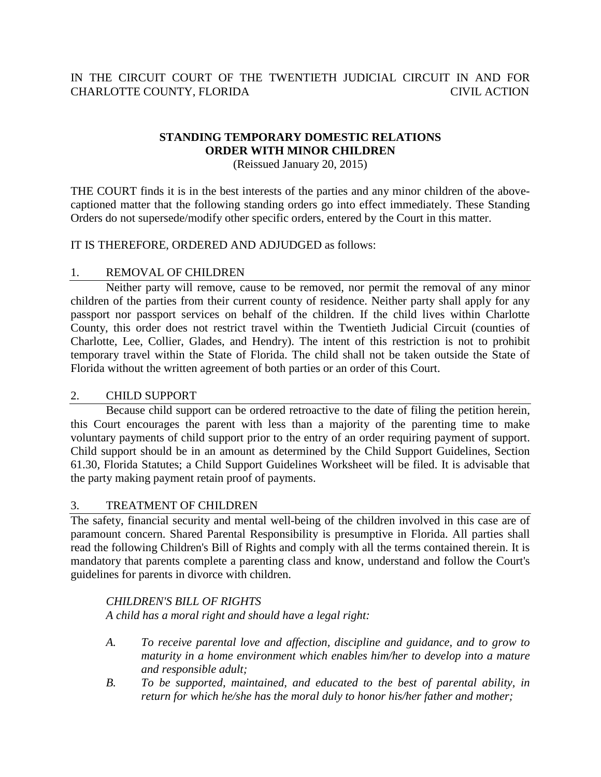# IN THE CIRCUIT COURT OF THE TWENTIETH JUDICIAL CIRCUIT IN AND FOR CHARLOTTE COUNTY, FLORIDA CIVIL ACTION

# **STANDING TEMPORARY DOMESTIC RELATIONS ORDER WITH MINOR CHILDREN**

(Reissued January 20, 2015)

THE COURT finds it is in the best interests of the parties and any minor children of the abovecaptioned matter that the following standing orders go into effect immediately. These Standing Orders do not supersede/modify other specific orders, entered by the Court in this matter.

### IT IS THEREFORE, ORDERED AND ADJUDGED as follows:

### 1. REMOVAL OF CHILDREN

Neither party will remove, cause to be removed, nor permit the removal of any minor children of the parties from their current county of residence. Neither party shall apply for any passport nor passport services on behalf of the children. If the child lives within Charlotte County, this order does not restrict travel within the Twentieth Judicial Circuit (counties of Charlotte, Lee, Collier, Glades, and Hendry). The intent of this restriction is not to prohibit temporary travel within the State of Florida. The child shall not be taken outside the State of Florida without the written agreement of both parties or an order of this Court.

### 2. CHILD SUPPORT

Because child support can be ordered retroactive to the date of filing the petition herein, this Court encourages the parent with less than a majority of the parenting time to make voluntary payments of child support prior to the entry of an order requiring payment of support. Child support should be in an amount as determined by the Child Support Guidelines, Section 61.30, Florida Statutes; a Child Support Guidelines Worksheet will be filed. It is advisable that the party making payment retain proof of payments.

### 3. TREATMENT OF CHILDREN

The safety, financial security and mental well-being of the children involved in this case are of paramount concern. Shared Parental Responsibility is presumptive in Florida. All parties shall read the following Children's Bill of Rights and comply with all the terms contained therein. It is mandatory that parents complete a parenting class and know, understand and follow the Court's guidelines for parents in divorce with children.

## *CHILDREN'S BILL OF RIGHTS*

*A child has a moral right and should have a legal right:*

- *A. To receive parental love and affection, discipline and guidance, and to grow to maturity in a home environment which enables him/her to develop into a mature and responsible adult;*
- *B. To be supported, maintained, and educated to the best of parental ability, in return for which he/she has the moral duly to honor his/her father and mother;*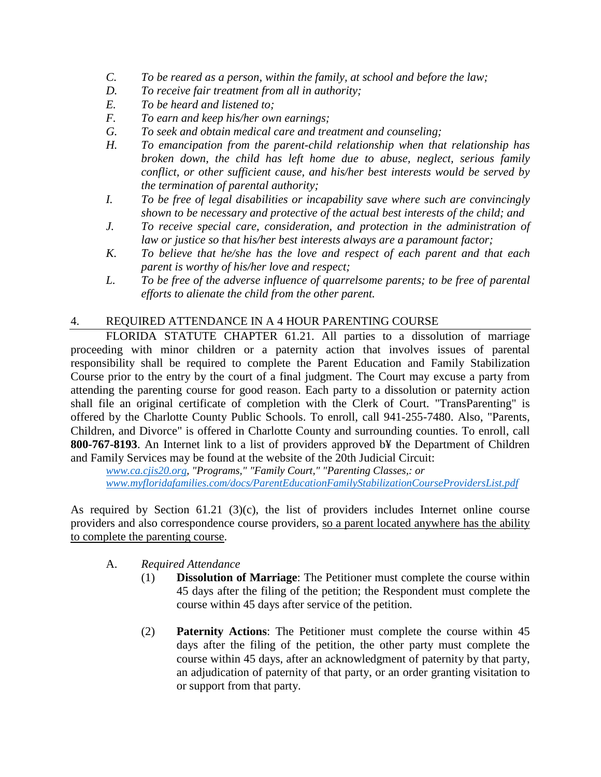- *C. To be reared as a person, within the family, at school and before the law;*
- *D. To receive fair treatment from all in authority;*
- *E. To be heard and listened to;*
- *F. To earn and keep his/her own earnings;*
- *G. To seek and obtain medical care and treatment and counseling;*
- *H. To emancipation from the parent-child relationship when that relationship has broken down, the child has left home due to abuse, neglect, serious family conflict, or other sufficient cause, and his/her best interests would be served by the termination of parental authority;*
- *I. To be free of legal disabilities or incapability save where such are convincingly shown to be necessary and protective of the actual best interests of the child; and*
- *J. To receive special care, consideration, and protection in the administration of law or justice so that his/her best interests always are a paramount factor;*
- *K. To believe that he/she has the love and respect of each parent and that each parent is worthy of his/her love and respect;*
- *L. To be free of the adverse influence of quarrelsome parents; to be free of parental efforts to alienate the child from the other parent.*

### 4. REQUIRED ATTENDANCE IN A 4 HOUR PARENTING COURSE

FLORIDA STATUTE CHAPTER 61.21. All parties to a dissolution of marriage proceeding with minor children or a paternity action that involves issues of parental responsibility shall be required to complete the Parent Education and Family Stabilization Course prior to the entry by the court of a final judgment. The Court may excuse a party from attending the parenting course for good reason. Each party to a dissolution or paternity action shall file an original certificate of completion with the Clerk of Court. "TransParenting" is offered by the Charlotte County Public Schools. To enroll, call 941-255-7480. Also, "Parents, Children, and Divorce" is offered in Charlotte County and surrounding counties. To enroll, call **800-767-8193**. An Internet link to a list of providers approved b¥ the Department of Children and Family Services may be found at the website of the 20th Judicial Circuit:

*www.ca.cjis20.org, "Programs," "Family Court," "Parenting Classes,: or www.myfloridafamilies.com/docs/ParentEducationFamilyStabilizationCourseProvidersList.pdf*

As required by Section 61.21 (3)(c), the list of providers includes Internet online course providers and also correspondence course providers, so a parent located anywhere has the ability to complete the parenting course.

### A. *Required Attendance*

- (1) **Dissolution of Marriage**: The Petitioner must complete the course within 45 days after the filing of the petition; the Respondent must complete the course within 45 days after service of the petition.
- (2) **Paternity Actions**: The Petitioner must complete the course within 45 days after the filing of the petition, the other party must complete the course within 45 days, after an acknowledgment of paternity by that party, an adjudication of paternity of that party, or an order granting visitation to or support from that party.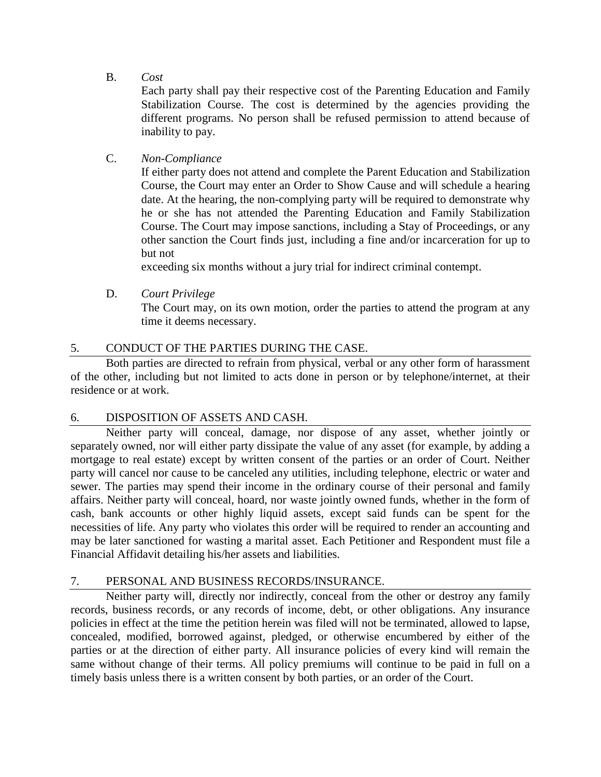B. *Cost*

Each party shall pay their respective cost of the Parenting Education and Family Stabilization Course. The cost is determined by the agencies providing the different programs. No person shall be refused permission to attend because of inability to pay.

## C. *Non-Compliance*

If either party does not attend and complete the Parent Education and Stabilization Course, the Court may enter an Order to Show Cause and will schedule a hearing date. At the hearing, the non-complying party will be required to demonstrate why he or she has not attended the Parenting Education and Family Stabilization Course. The Court may impose sanctions, including a Stay of Proceedings, or any other sanction the Court finds just, including a fine and/or incarceration for up to but not

exceeding six months without a jury trial for indirect criminal contempt.

D. *Court Privilege*

The Court may, on its own motion, order the parties to attend the program at any time it deems necessary.

# 5. CONDUCT OF THE PARTIES DURING THE CASE.

Both parties are directed to refrain from physical, verbal or any other form of harassment of the other, including but not limited to acts done in person or by telephone/internet, at their residence or at work.

## 6. DISPOSITION OF ASSETS AND CASH.

Neither party will conceal, damage, nor dispose of any asset, whether jointly or separately owned, nor will either party dissipate the value of any asset (for example, by adding a mortgage to real estate) except by written consent of the parties or an order of Court. Neither party will cancel nor cause to be canceled any utilities, including telephone, electric or water and sewer. The parties may spend their income in the ordinary course of their personal and family affairs. Neither party will conceal, hoard, nor waste jointly owned funds, whether in the form of cash, bank accounts or other highly liquid assets, except said funds can be spent for the necessities of life. Any party who violates this order will be required to render an accounting and may be later sanctioned for wasting a marital asset. Each Petitioner and Respondent must file a Financial Affidavit detailing his/her assets and liabilities.

## 7. PERSONAL AND BUSINESS RECORDS/INSURANCE.

Neither party will, directly nor indirectly, conceal from the other or destroy any family records, business records, or any records of income, debt, or other obligations. Any insurance policies in effect at the time the petition herein was filed will not be terminated, allowed to lapse, concealed, modified, borrowed against, pledged, or otherwise encumbered by either of the parties or at the direction of either party. All insurance policies of every kind will remain the same without change of their terms. All policy premiums will continue to be paid in full on a timely basis unless there is a written consent by both parties, or an order of the Court.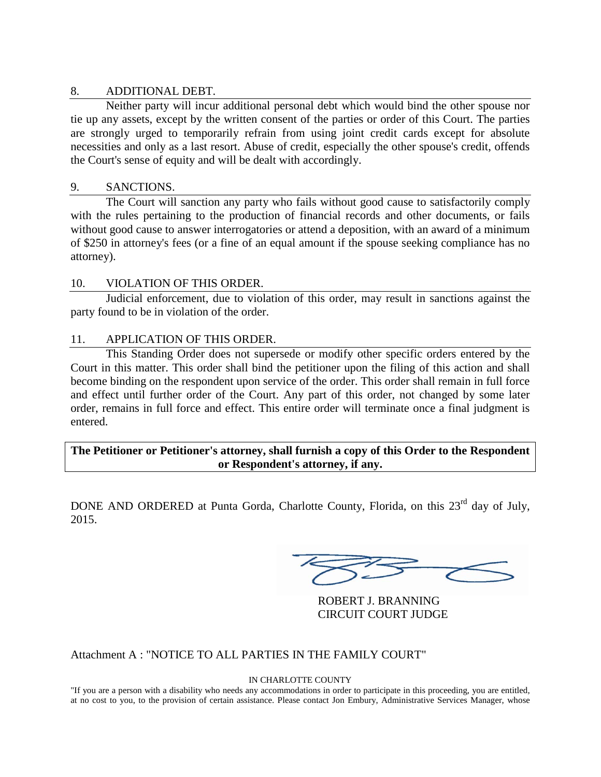### 8. ADDITIONAL DEBT.

Neither party will incur additional personal debt which would bind the other spouse nor tie up any assets, except by the written consent of the parties or order of this Court. The parties are strongly urged to temporarily refrain from using joint credit cards except for absolute necessities and only as a last resort. Abuse of credit, especially the other spouse's credit, offends the Court's sense of equity and will be dealt with accordingly.

### 9. SANCTIONS.

The Court will sanction any party who fails without good cause to satisfactorily comply with the rules pertaining to the production of financial records and other documents, or fails without good cause to answer interrogatories or attend a deposition, with an award of a minimum of \$250 in attorney's fees (or a fine of an equal amount if the spouse seeking compliance has no attorney).

### 10. VIOLATION OF THIS ORDER.

Judicial enforcement, due to violation of this order, may result in sanctions against the party found to be in violation of the order.

### 11. APPLICATION OF THIS ORDER.

This Standing Order does not supersede or modify other specific orders entered by the Court in this matter. This order shall bind the petitioner upon the filing of this action and shall become binding on the respondent upon service of the order. This order shall remain in full force and effect until further order of the Court. Any part of this order, not changed by some later order, remains in full force and effect. This entire order will terminate once a final judgment is entered.

**The Petitioner or Petitioner's attorney, shall furnish a copy of this Order to the Respondent or Respondent's attorney, if any.**

DONE AND ORDERED at Punta Gorda, Charlotte County, Florida, on this 23<sup>rd</sup> day of July, 2015.

ROBERT J. BRANNING CIRCUIT COURT JUDGE

Attachment A : "NOTICE TO ALL PARTIES IN THE FAMILY COURT"

#### IN CHARLOTTE COUNTY

"If you are a person with a disability who needs any accommodations in order to participate in this proceeding, you are entitled, at no cost to you, to the provision of certain assistance. Please contact Jon Embury, Administrative Services Manager, whose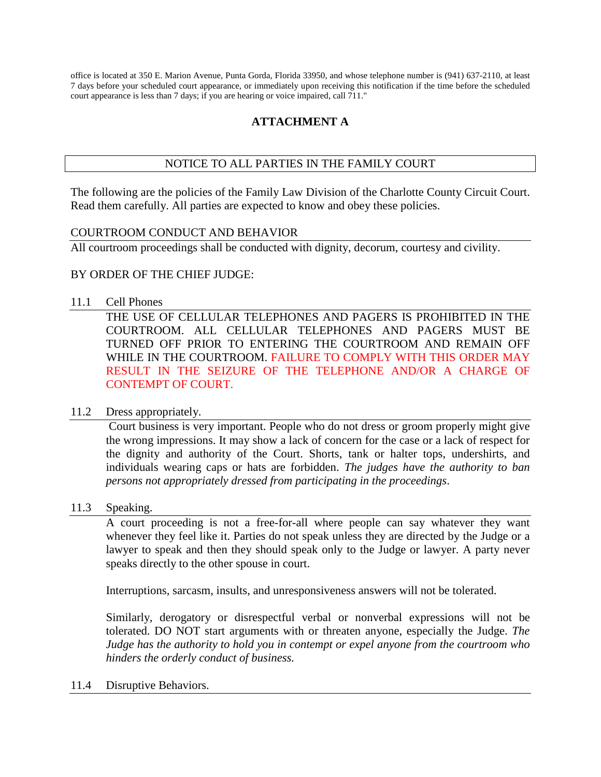office is located at 350 E. Marion Avenue, Punta Gorda, Florida 33950, and whose telephone number is (941) 637-2110, at least 7 days before your scheduled court appearance, or immediately upon receiving this notification if the time before the scheduled court appearance is less than 7 days; if you are hearing or voice impaired, call 711."

# **ATTACHMENT A**

## NOTICE TO ALL PARTIES IN THE FAMILY COURT

The following are the policies of the Family Law Division of the Charlotte County Circuit Court. Read them carefully. All parties are expected to know and obey these policies.

### COURTROOM CONDUCT AND BEHAVIOR

All courtroom proceedings shall be conducted with dignity, decorum, courtesy and civility.

### BY ORDER OF THE CHIEF JUDGE:

### 11.1 Cell Phones

THE USE OF CELLULAR TELEPHONES AND PAGERS IS PROHIBITED IN THE COURTROOM. ALL CELLULAR TELEPHONES AND PAGERS MUST BE TURNED OFF PRIOR TO ENTERING THE COURTROOM AND REMAIN OFF WHILE IN THE COURTROOM. FAILURE TO COMPLY WITH THIS ORDER MAY RESULT IN THE SEIZURE OF THE TELEPHONE AND/OR A CHARGE OF CONTEMPT OF COURT.

### 11.2 Dress appropriately.

Court business is very important. People who do not dress or groom properly might give the wrong impressions. It may show a lack of concern for the case or a lack of respect for the dignity and authority of the Court. Shorts, tank or halter tops, undershirts, and individuals wearing caps or hats are forbidden. *The judges have the authority to ban persons not appropriately dressed from participating in the proceedings*.

### 11.3 Speaking.

A court proceeding is not a free-for-all where people can say whatever they want whenever they feel like it. Parties do not speak unless they are directed by the Judge or a lawyer to speak and then they should speak only to the Judge or lawyer. A party never speaks directly to the other spouse in court.

Interruptions, sarcasm, insults, and unresponsiveness answers will not be tolerated.

Similarly, derogatory or disrespectful verbal or nonverbal expressions will not be tolerated. DO NOT start arguments with or threaten anyone, especially the Judge. *The Judge has the authority to hold you in contempt or expel anyone from the courtroom who hinders the orderly conduct of business.*

### 11.4 Disruptive Behaviors.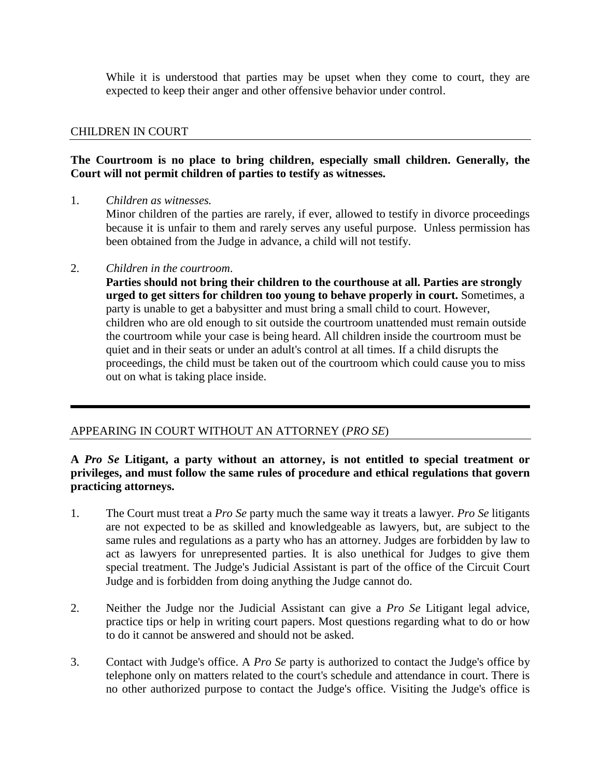While it is understood that parties may be upset when they come to court, they are expected to keep their anger and other offensive behavior under control.

### CHILDREN IN COURT

### **The Courtroom is no place to bring children, especially small children. Generally, the Court will not permit children of parties to testify as witnesses.**

1. *Children as witnesses.*

Minor children of the parties are rarely, if ever, allowed to testify in divorce proceedings because it is unfair to them and rarely serves any useful purpose. Unless permission has been obtained from the Judge in advance, a child will not testify.

### 2. *Children in the courtroom*.

**Parties should not bring their children to the courthouse at all. Parties are strongly urged to get sitters for children too young to behave properly in court.** Sometimes, a party is unable to get a babysitter and must bring a small child to court. However, children who are old enough to sit outside the courtroom unattended must remain outside the courtroom while your case is being heard. All children inside the courtroom must be quiet and in their seats or under an adult's control at all times. If a child disrupts the proceedings, the child must be taken out of the courtroom which could cause you to miss out on what is taking place inside.

## APPEARING IN COURT WITHOUT AN ATTORNEY (*PRO SE*)

### **A** *Pro Se* **Litigant, a party without an attorney, is not entitled to special treatment or privileges, and must follow the same rules of procedure and ethical regulations that govern practicing attorneys.**

- 1. The Court must treat a *Pro Se* party much the same way it treats a lawyer. *Pro Se* litigants are not expected to be as skilled and knowledgeable as lawyers, but, are subject to the same rules and regulations as a party who has an attorney. Judges are forbidden by law to act as lawyers for unrepresented parties. It is also unethical for Judges to give them special treatment. The Judge's Judicial Assistant is part of the office of the Circuit Court Judge and is forbidden from doing anything the Judge cannot do.
- 2. Neither the Judge nor the Judicial Assistant can give a *Pro Se* Litigant legal advice, practice tips or help in writing court papers. Most questions regarding what to do or how to do it cannot be answered and should not be asked.
- 3. Contact with Judge's office. A *Pro Se* party is authorized to contact the Judge's office by telephone only on matters related to the court's schedule and attendance in court. There is no other authorized purpose to contact the Judge's office. Visiting the Judge's office is